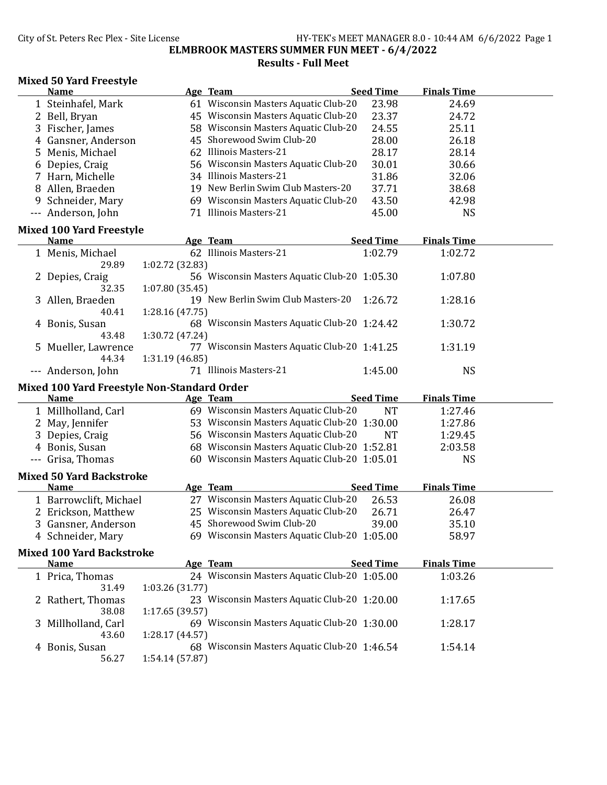## City of St. Peters Rec Plex - Site License **HY-TEK's MEET MANAGER 8.0 - 10:44 AM 6/6/2022** Page 1 ELMBROOK MASTERS SUMMER FUN MEET - 6/4/2022 Results - Full Meet

## Mixed 50 Yard Freestyle

|   | <b>Name</b>                                 |                 | Age Team                                     | <b>Seed Time</b> | <b>Finals Time</b> |  |
|---|---------------------------------------------|-----------------|----------------------------------------------|------------------|--------------------|--|
|   | 1 Steinhafel, Mark                          |                 | 61 Wisconsin Masters Aquatic Club-20         | 23.98            | 24.69              |  |
|   | 2 Bell, Bryan                               |                 | 45 Wisconsin Masters Aquatic Club-20         | 23.37            | 24.72              |  |
|   | 3 Fischer, James                            |                 | 58 Wisconsin Masters Aquatic Club-20         | 24.55            | 25.11              |  |
| 4 | Gansner, Anderson                           |                 | 45 Shorewood Swim Club-20                    | 28.00            | 26.18              |  |
| 5 | Menis, Michael                              |                 | 62 Illinois Masters-21                       | 28.17            | 28.14              |  |
| 6 | Depies, Craig                               |                 | 56 Wisconsin Masters Aquatic Club-20         | 30.01            | 30.66              |  |
|   | 7 Harn, Michelle                            |                 | 34 Illinois Masters-21                       | 31.86            | 32.06              |  |
| 8 | Allen, Braeden                              |                 | 19 New Berlin Swim Club Masters-20           | 37.71            | 38.68              |  |
| 9 | Schneider, Mary                             |                 | 69 Wisconsin Masters Aquatic Club-20         | 43.50            | 42.98              |  |
|   | --- Anderson, John                          |                 | 71 Illinois Masters-21                       | 45.00            | <b>NS</b>          |  |
|   |                                             |                 |                                              |                  |                    |  |
|   | <b>Mixed 100 Yard Freestyle</b>             |                 |                                              |                  |                    |  |
|   | <b>Name</b>                                 |                 | Age Team                                     | <b>Seed Time</b> | <b>Finals Time</b> |  |
|   | 1 Menis, Michael                            |                 | 62 Illinois Masters-21                       | 1:02.79          | 1:02.72            |  |
|   | 29.89                                       | 1:02.72 (32.83) |                                              |                  |                    |  |
|   | 2 Depies, Craig                             |                 | 56 Wisconsin Masters Aquatic Club-20 1:05.30 |                  | 1:07.80            |  |
|   | 32.35                                       | 1:07.80 (35.45) |                                              |                  |                    |  |
|   | 3 Allen, Braeden                            |                 | 19 New Berlin Swim Club Masters-20           | 1:26.72          | 1:28.16            |  |
|   | 40.41                                       | 1:28.16 (47.75) |                                              |                  |                    |  |
|   | 4 Bonis, Susan                              |                 | 68 Wisconsin Masters Aquatic Club-20 1:24.42 |                  | 1:30.72            |  |
|   | 43.48                                       | 1:30.72 (47.24) |                                              |                  |                    |  |
|   | 5 Mueller, Lawrence                         |                 | 77 Wisconsin Masters Aquatic Club-20 1:41.25 |                  | 1:31.19            |  |
|   | 44.34                                       | 1:31.19 (46.85) |                                              |                  |                    |  |
|   | --- Anderson, John                          |                 | 71 Illinois Masters-21                       | 1:45.00          | <b>NS</b>          |  |
|   |                                             |                 |                                              |                  |                    |  |
|   | Mixed 100 Yard Freestyle Non-Standard Order |                 |                                              |                  |                    |  |
|   | <b>Name</b>                                 |                 | Age Team                                     | <b>Seed Time</b> | <b>Finals Time</b> |  |
|   | 1 Millholland, Carl                         |                 | 69 Wisconsin Masters Aquatic Club-20         | <b>NT</b>        | 1:27.46            |  |
|   | 2 May, Jennifer                             |                 | 53 Wisconsin Masters Aquatic Club-20 1:30.00 |                  | 1:27.86            |  |
| 3 | Depies, Craig                               |                 | 56 Wisconsin Masters Aquatic Club-20         | <b>NT</b>        | 1:29.45            |  |
|   | 4 Bonis, Susan                              |                 | 68 Wisconsin Masters Aquatic Club-20 1:52.81 |                  | 2:03.58            |  |
|   | --- Grisa, Thomas                           |                 | 60 Wisconsin Masters Aquatic Club-20 1:05.01 |                  | <b>NS</b>          |  |
|   |                                             |                 |                                              |                  |                    |  |
|   | <b>Mixed 50 Yard Backstroke</b>             |                 |                                              |                  |                    |  |
|   | <b>Name</b>                                 |                 | Age Team                                     | <b>Seed Time</b> | <b>Finals Time</b> |  |
|   | 1 Barrowclift, Michael                      |                 | 27 Wisconsin Masters Aquatic Club-20         | 26.53            | 26.08              |  |
|   | 2 Erickson, Matthew                         |                 | 25 Wisconsin Masters Aquatic Club-20         | 26.71            | 26.47              |  |
|   | 3 Gansner, Anderson                         |                 | 45 Shorewood Swim Club-20                    | 39.00            | 35.10              |  |
|   | 4 Schneider, Mary                           |                 | 69 Wisconsin Masters Aquatic Club-20 1:05.00 |                  | 58.97              |  |
|   | <b>Mixed 100 Yard Backstroke</b>            |                 |                                              |                  |                    |  |
|   | <b>Name</b>                                 |                 | Age Team                                     | <b>Seed Time</b> | <b>Finals Time</b> |  |
|   | 1 Prica, Thomas                             |                 | 24 Wisconsin Masters Aquatic Club-20 1:05.00 |                  | 1:03.26            |  |
|   | 31.49                                       | 1:03.26 (31.77) |                                              |                  |                    |  |
|   | 2 Rathert, Thomas                           |                 | 23 Wisconsin Masters Aquatic Club-20 1:20.00 |                  | 1:17.65            |  |
|   | 38.08                                       | 1:17.65 (39.57) |                                              |                  |                    |  |
|   | 3 Millholland, Carl                         |                 | 69 Wisconsin Masters Aquatic Club-20 1:30.00 |                  | 1:28.17            |  |
|   | 43.60                                       | 1:28.17 (44.57) |                                              |                  |                    |  |
|   | 4 Bonis, Susan<br>56.27                     | 1:54.14 (57.87) | 68 Wisconsin Masters Aquatic Club-20 1:46.54 |                  | 1:54.14            |  |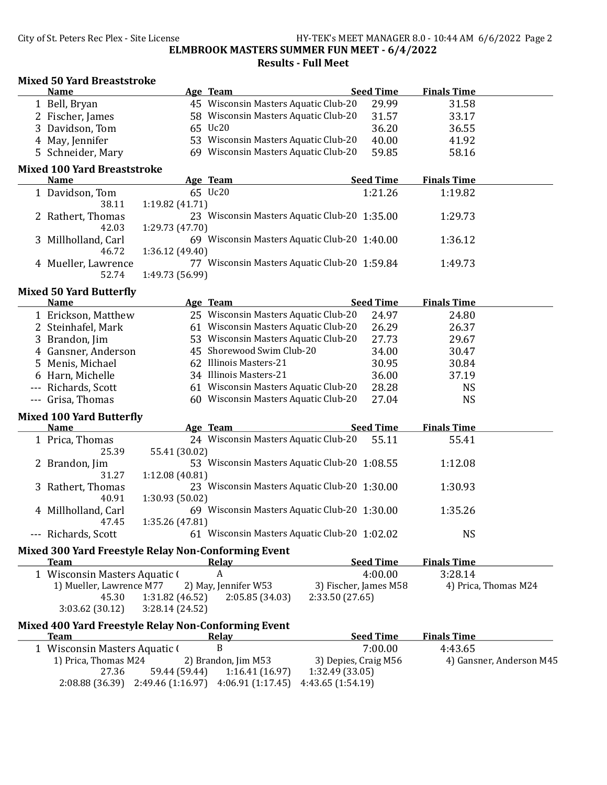## City of St. Peters Rec Plex - Site License HY-TEK's MEET MANAGER 8.0 - 10:44 AM 6/6/2022 Page 2 ELMBROOK MASTERS SUMMER FUN MEET - 6/4/2022 Results - Full Meet

|    | <b>Mixed 50 Yard Breaststroke</b>                   |                 |                                              |                      |                       |                          |  |
|----|-----------------------------------------------------|-----------------|----------------------------------------------|----------------------|-----------------------|--------------------------|--|
|    | <b>Name</b>                                         |                 | Age Team                                     |                      | <b>Seed Time</b>      | <b>Finals Time</b>       |  |
|    | 1 Bell, Bryan                                       |                 | 45 Wisconsin Masters Aquatic Club-20         |                      | 29.99                 | 31.58                    |  |
|    | 2 Fischer, James                                    |                 | 58 Wisconsin Masters Aquatic Club-20         |                      | 31.57                 | 33.17                    |  |
| 3  | Davidson, Tom                                       |                 | 65 Uc20                                      |                      | 36.20                 | 36.55                    |  |
|    | 4 May, Jennifer                                     |                 | 53 Wisconsin Masters Aquatic Club-20         |                      | 40.00                 | 41.92                    |  |
|    | 5 Schneider, Mary                                   |                 | 69 Wisconsin Masters Aquatic Club-20         |                      | 59.85                 | 58.16                    |  |
|    | <b>Mixed 100 Yard Breaststroke</b>                  |                 |                                              |                      |                       |                          |  |
|    | <b>Name</b>                                         |                 | Age Team                                     |                      | <b>Seed Time</b>      | <b>Finals Time</b>       |  |
|    | 1 Davidson, Tom                                     |                 | 65 Uc20                                      |                      | 1:21.26               | 1:19.82                  |  |
|    | 38.11                                               | 1:19.82 (41.71) |                                              |                      |                       |                          |  |
|    | 2 Rathert, Thomas                                   |                 | 23 Wisconsin Masters Aquatic Club-20 1:35.00 |                      |                       | 1:29.73                  |  |
|    | 42.03                                               | 1:29.73 (47.70) |                                              |                      |                       |                          |  |
|    | 3 Millholland, Carl                                 |                 | 69 Wisconsin Masters Aquatic Club-20 1:40.00 |                      |                       | 1:36.12                  |  |
|    | 46.72                                               | 1:36.12 (49.40) |                                              |                      |                       |                          |  |
|    | 4 Mueller, Lawrence                                 |                 | 77 Wisconsin Masters Aquatic Club-20 1:59.84 |                      |                       | 1:49.73                  |  |
|    | 52.74                                               | 1:49.73 (56.99) |                                              |                      |                       |                          |  |
|    | <b>Mixed 50 Yard Butterfly</b>                      |                 |                                              |                      |                       |                          |  |
|    | <b>Name</b>                                         |                 | Age Team                                     |                      | <b>Seed Time</b>      | <b>Finals Time</b>       |  |
|    | 1 Erickson, Matthew                                 |                 | 25 Wisconsin Masters Aquatic Club-20         |                      | 24.97                 | 24.80                    |  |
|    | 2 Steinhafel, Mark                                  |                 | 61 Wisconsin Masters Aquatic Club-20         |                      | 26.29                 | 26.37                    |  |
|    | 3 Brandon, Jim                                      |                 | 53 Wisconsin Masters Aquatic Club-20         |                      | 27.73                 | 29.67                    |  |
|    | 4 Gansner, Anderson                                 |                 | 45 Shorewood Swim Club-20                    |                      | 34.00                 | 30.47                    |  |
| 5. | Menis, Michael                                      |                 | 62 Illinois Masters-21                       |                      | 30.95                 | 30.84                    |  |
|    | 6 Harn, Michelle                                    |                 | 34 Illinois Masters-21                       |                      | 36.00                 | 37.19                    |  |
|    | --- Richards, Scott                                 |                 | 61 Wisconsin Masters Aquatic Club-20         |                      | 28.28                 | <b>NS</b>                |  |
|    | --- Grisa, Thomas                                   |                 | 60 Wisconsin Masters Aquatic Club-20         |                      | 27.04                 | <b>NS</b>                |  |
|    |                                                     |                 |                                              |                      |                       |                          |  |
|    | <b>Mixed 100 Yard Butterfly</b><br>Name             |                 | Age Team                                     |                      | <b>Seed Time</b>      | <b>Finals Time</b>       |  |
|    |                                                     |                 | 24 Wisconsin Masters Aquatic Club-20         |                      | 55.11                 |                          |  |
|    | 1 Prica, Thomas                                     |                 |                                              |                      |                       | 55.41                    |  |
|    | 25.39                                               | 55.41 (30.02)   | 53 Wisconsin Masters Aquatic Club-20 1:08.55 |                      |                       |                          |  |
|    | 2 Brandon, Jim                                      |                 |                                              |                      |                       | 1:12.08                  |  |
|    | 31.27                                               | 1:12.08 (40.81) | 23 Wisconsin Masters Aquatic Club-20 1:30.00 |                      |                       |                          |  |
|    | 3 Rathert, Thomas                                   |                 |                                              |                      |                       | 1:30.93                  |  |
|    | 40.91                                               | 1:30.93 (50.02) |                                              |                      |                       |                          |  |
|    | 4 Millholland, Carl                                 |                 | 69 Wisconsin Masters Aquatic Club-20 1:30.00 |                      |                       | 1:35.26                  |  |
|    | 47.45<br>--- Richards, Scott                        | 1:35.26 (47.81) | 61 Wisconsin Masters Aquatic Club-20 1:02.02 |                      |                       | <b>NS</b>                |  |
|    |                                                     |                 |                                              |                      |                       |                          |  |
|    | Mixed 300 Yard Freestyle Relay Non-Conforming Event |                 |                                              |                      |                       |                          |  |
|    | <b>Team</b>                                         |                 | <u>Relay</u>                                 |                      | <b>Seed Time</b>      | <b>Finals Time</b>       |  |
|    | 1 Wisconsin Masters Aquatic (                       |                 | A                                            |                      | 4:00.00               | 3:28.14                  |  |
|    | 1) Mueller, Lawrence M77                            |                 | 2) May, Jennifer W53                         |                      | 3) Fischer, James M58 | 4) Prica, Thomas M24     |  |
|    | 45.30                                               | 1:31.82 (46.52) | 2:05.85 (34.03)                              | 2:33.50 (27.65)      |                       |                          |  |
|    | 3:03.62 (30.12)                                     | 3:28.14(24.52)  |                                              |                      |                       |                          |  |
|    | Mixed 400 Yard Freestyle Relay Non-Conforming Event |                 |                                              |                      |                       |                          |  |
|    | <b>Team</b>                                         |                 | <b>Relay</b>                                 |                      | <b>Seed Time</b>      | <b>Finals Time</b>       |  |
|    | 1 Wisconsin Masters Aquatic (                       |                 | B                                            |                      | 7:00.00               | 4:43.65                  |  |
|    | 1) Prica, Thomas M24                                |                 | 2) Brandon, Jim M53                          | 3) Depies, Craig M56 |                       | 4) Gansner, Anderson M45 |  |
|    | 27.36                                               | 59.44 (59.44)   | 1:16.41(16.97)                               | 1:32.49 (33.05)      |                       |                          |  |

2:08.88 (36.39) 2:49.46 (1:16.97) 4:06.91 (1:17.45) 4:43.65 (1:54.19)